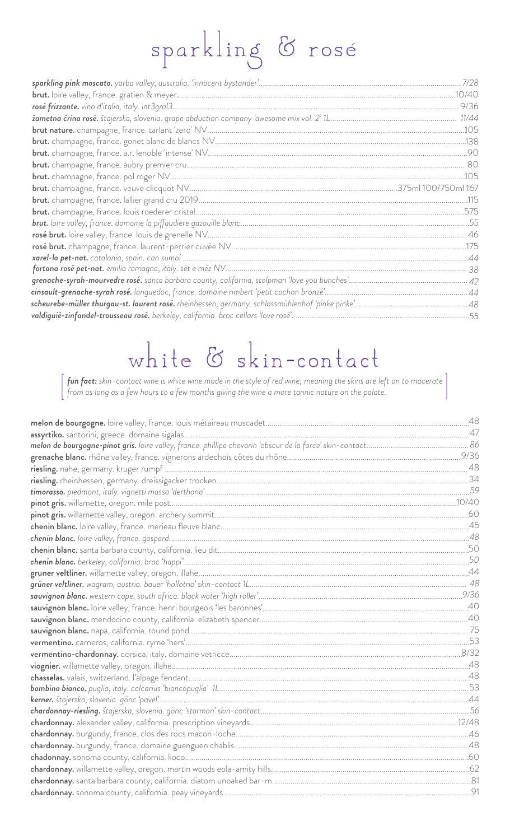## sparkling & rosé

| cinsault-grenache-syrah rosé. languedoc, france. domaine rimbert 'petit cochon bronzé'………………………………………………………44                   |  |
|---------------------------------------------------------------------------------------------------------------------------------|--|
| <mark>scheurebe-müller thurgau-st. laurent rosé.</mark> rheinhessen, germany. schlossmühlenhof 'pinke pinke'……………………………………………48 |  |
| valdiguié-zinfandel-trousseau rosé. berkeley, california. broc cellars 'love rosé'………………………………………………………………………55                 |  |
|                                                                                                                                 |  |

## white & skin-contact

 $\left[\text{fun fact: skin-contact wine is white wine made in the style of red wine; meaning the skins are left on to macerate}\right]$  from as long as a few hours to a few months giving the wine a more tannic nature on the palate.

| melon de bourgogne-pinot gris. loire valley, france. phillipe chevarin 'obscur de la force' skin-contact…………………………………………………………86 |  |
|----------------------------------------------------------------------------------------------------------------------------------|--|
|                                                                                                                                  |  |
|                                                                                                                                  |  |
|                                                                                                                                  |  |
|                                                                                                                                  |  |
|                                                                                                                                  |  |
|                                                                                                                                  |  |
|                                                                                                                                  |  |
|                                                                                                                                  |  |
|                                                                                                                                  |  |
|                                                                                                                                  |  |
|                                                                                                                                  |  |
|                                                                                                                                  |  |
|                                                                                                                                  |  |
| sauvignon blanc. loire valley, france. henri bourgeois 'les baronnes'…………………………………………………………………………………………40                        |  |
|                                                                                                                                  |  |
|                                                                                                                                  |  |
|                                                                                                                                  |  |
|                                                                                                                                  |  |
|                                                                                                                                  |  |
|                                                                                                                                  |  |
|                                                                                                                                  |  |
|                                                                                                                                  |  |
|                                                                                                                                  |  |
|                                                                                                                                  |  |
|                                                                                                                                  |  |
|                                                                                                                                  |  |
|                                                                                                                                  |  |
|                                                                                                                                  |  |
|                                                                                                                                  |  |
|                                                                                                                                  |  |
|                                                                                                                                  |  |